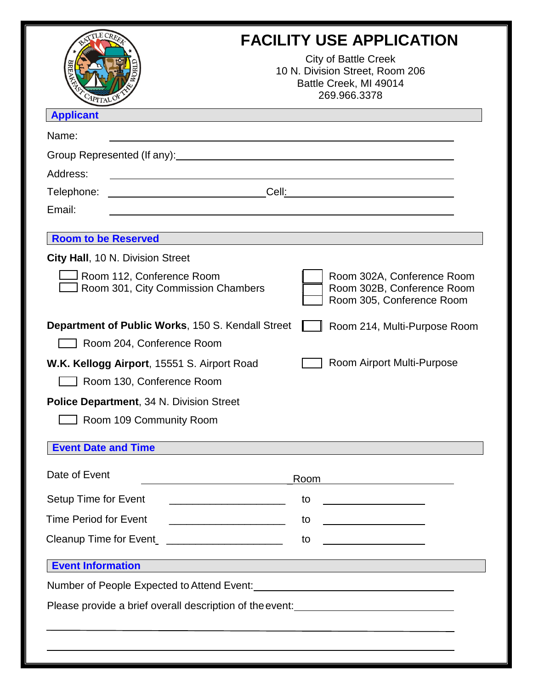| APITALO                                                                                                                                                                                                                       | <b>FACILITY USE APPLICATION</b><br><b>City of Battle Creek</b><br>10 N. Division Street, Room 206<br>Battle Creek, MI 49014<br>269.966.3378 |
|-------------------------------------------------------------------------------------------------------------------------------------------------------------------------------------------------------------------------------|---------------------------------------------------------------------------------------------------------------------------------------------|
| <b>Applicant</b>                                                                                                                                                                                                              |                                                                                                                                             |
| Name:                                                                                                                                                                                                                         |                                                                                                                                             |
| Group Represented (If any): Sales and the set of the set of the set of the set of the set of the set of the set of the set of the set of the set of the set of the set of the set of the set of the set of the set of the set |                                                                                                                                             |
| Address:                                                                                                                                                                                                                      |                                                                                                                                             |
| Telephone:<br><u> 2002 - Jan James James Barnett, prima politik (</u>                                                                                                                                                         | Cell:                                                                                                                                       |
| Email:                                                                                                                                                                                                                        |                                                                                                                                             |
| <b>Room to be Reserved</b>                                                                                                                                                                                                    |                                                                                                                                             |
| <b>City Hall, 10 N. Division Street</b>                                                                                                                                                                                       |                                                                                                                                             |
| Room 112, Conference Room<br>Room 301, City Commission Chambers                                                                                                                                                               | Room 302A, Conference Room<br>Room 302B, Conference Room<br>Room 305, Conference Room                                                       |
| <b>Department of Public Works, 150 S. Kendall Street</b>                                                                                                                                                                      | Room 214, Multi-Purpose Room                                                                                                                |
| Room 204, Conference Room                                                                                                                                                                                                     |                                                                                                                                             |
| W.K. Kellogg Airport, 15551 S. Airport Road                                                                                                                                                                                   | Room Airport Multi-Purpose                                                                                                                  |
| Room 130, Conference Room                                                                                                                                                                                                     |                                                                                                                                             |
| <b>Police Department, 34 N. Division Street</b>                                                                                                                                                                               |                                                                                                                                             |
| Room 109 Community Room                                                                                                                                                                                                       |                                                                                                                                             |
| <b>Event Date and Time</b>                                                                                                                                                                                                    |                                                                                                                                             |
| Date of Event                                                                                                                                                                                                                 | Room                                                                                                                                        |
| Setup Time for Event                                                                                                                                                                                                          | <u> 1989 - Johann John Stone, meil in der Stone aus der Stone aus der Stone aus der Stone aus der Stone aus der S</u><br>to                 |
| <b>Time Period for Event</b>                                                                                                                                                                                                  | <u> 1980 - Johann Barbara, martin a</u><br>to<br><u> 1989 - Johann Barbara, martxa a shekara 1989 - A</u>                                   |
| Cleanup Time for Event_ _____________________                                                                                                                                                                                 | to                                                                                                                                          |
|                                                                                                                                                                                                                               |                                                                                                                                             |
| <b>Event Information</b>                                                                                                                                                                                                      |                                                                                                                                             |
|                                                                                                                                                                                                                               |                                                                                                                                             |
|                                                                                                                                                                                                                               | Please provide a brief overall description of the event:<br><u>Please provide a brief overall description of the event:</u>                 |
|                                                                                                                                                                                                                               |                                                                                                                                             |
|                                                                                                                                                                                                                               |                                                                                                                                             |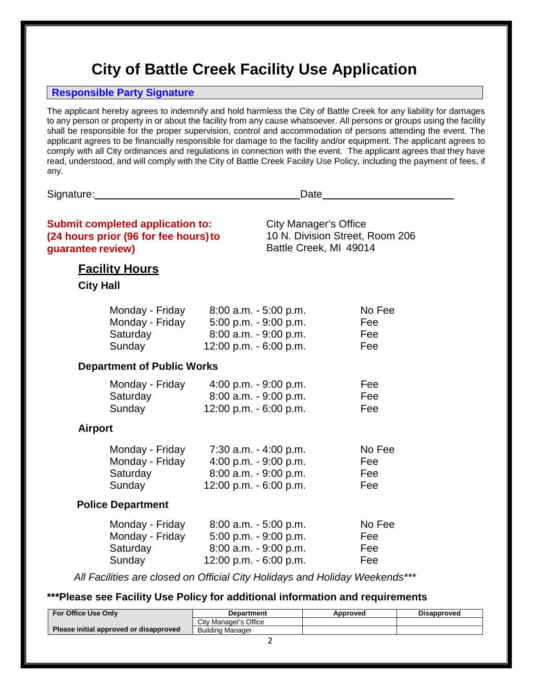# **City of Battle Creek Facility Use Application**

#### **Responsible Party Signature**

The applicant hereby agrees to indemnify and hold harmless the City of Battle Creek for any liability for damages to any person or property in or about the facility from any cause whatsoever. All persons or groups using the facility shall be responsible for the proper supervision, control and accommodation of persons attending the event. The applicant agrees to be financially responsible for damage to the facility and/or equipment. The applicant agrees to comply with all City ordinances and regulations in connection with the event. The applicant agrees that they have read, understood, and will comply with the City of Battle Creek Facility Use Policy, including the payment of fees, if any.

Signature: Date

| <b>Submit completed application to:</b><br>(24 hours prior (96 for fee hours) to<br>guarantee review)                                   |                                                                                                      | <b>City Manager's Office</b><br>10 N. Division Street, Room 206<br>Battle Creek, MI 49014 |                             |
|-----------------------------------------------------------------------------------------------------------------------------------------|------------------------------------------------------------------------------------------------------|-------------------------------------------------------------------------------------------|-----------------------------|
| <b>Facility Hours</b><br><b>City Hall</b>                                                                                               |                                                                                                      |                                                                                           |                             |
| Monday - Friday<br>Monday - Friday<br>Saturday<br>Sunday                                                                                | $8:00$ a.m. $-5:00$ p.m.<br>5:00 p.m. - 9:00 p.m.<br>8:00 a.m. - 9:00 p.m.<br>12:00 p.m. - 6:00 p.m. |                                                                                           | No Fee<br>Fee<br>Fee<br>Fee |
| <b>Department of Public Works</b>                                                                                                       |                                                                                                      |                                                                                           |                             |
| Monday - Friday<br>Saturday<br>Sunday                                                                                                   | 4:00 p.m. $-9:00$ p.m.<br>8:00 a.m. - 9:00 p.m.<br>12:00 p.m. - 6:00 p.m.                            |                                                                                           | Fee<br>Fee<br>Fee           |
| <b>Airport</b>                                                                                                                          |                                                                                                      |                                                                                           |                             |
| Monday - Friday<br>Monday - Friday<br>Saturday<br>Sunday                                                                                | $7:30$ a.m. $-4:00$ p.m.<br>4:00 p.m. - 9:00 p.m.<br>8:00 a.m. - 9:00 p.m.<br>12:00 p.m. - 6:00 p.m. |                                                                                           | No Fee<br>Fee<br>Fee<br>Fee |
| <b>Police Department</b>                                                                                                                |                                                                                                      |                                                                                           |                             |
| Monday - Friday<br>Monday - Friday<br>Saturday<br>Sunday<br>All Facilities are closed on Official City Holidays and Holiday Weekends*** | $8:00$ a.m. $-5:00$ p.m.<br>5:00 p.m. - 9:00 p.m.<br>8:00 a.m. - 9:00 p.m.<br>12:00 p.m. - 6:00 p.m. |                                                                                           | No Fee<br>Fee<br>Fee<br>Fee |

*All Facilities are closed on Official City Holidays and Holiday Weekends\*\*\**

#### **\*\*\*Please see Facility Use Policy for additional information and requirements**

| <b>For Office Use Only</b>             | <b>Department</b>     | Approved | <b>Disapproved</b> |
|----------------------------------------|-----------------------|----------|--------------------|
|                                        | City Manager's Office |          |                    |
| Please initial approved or disapproved | Building Manager      |          |                    |
|                                        |                       |          |                    |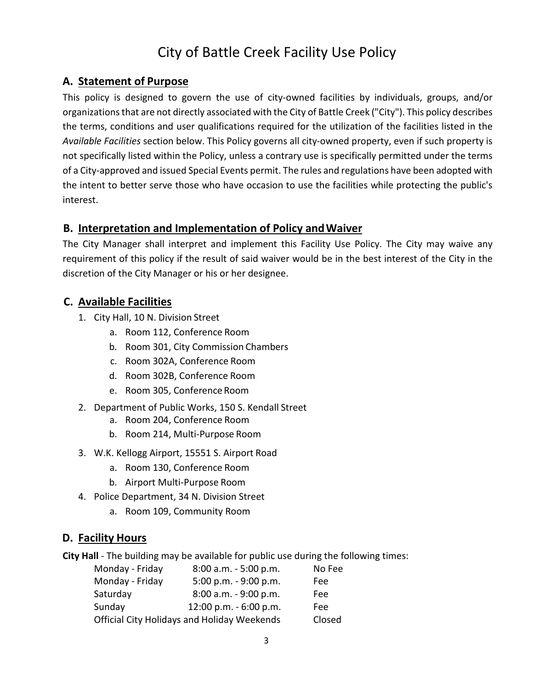# City of Battle Creek Facility Use Policy

# **A. Statement of Purpose**

This policy is designed to govern the use of city‐owned facilities by individuals, groups, and/or organizations that are not directly associated with the City of Battle Creek ("City"). This policy describes the terms, conditions and user qualifications required for the utilization of the facilities listed in the *Available Facilities* section below. This Policy governs all city‐owned property, even if such property is not specifically listed within the Policy, unless a contrary use is specifically permitted under the terms of a City‐approved and issued Special Events permit. The rules and regulations have been adopted with the intent to better serve those who have occasion to use the facilities while protecting the public's interest.

#### **B. Interpretation and Implementation of Policy andWaiver**

The City Manager shall interpret and implement this Facility Use Policy. The City may waive any requirement of this policy if the result of said waiver would be in the best interest of the City in the discretion of the City Manager or his or her designee.

# **C. Available Facilities**

- 1. City Hall, 10 N. Division Street
	- a. Room 112, Conference Room
	- b. Room 301, City Commission Chambers
	- c. Room 302A, Conference Room
	- d. Room 302B, Conference Room
	- e. Room 305, Conference Room
- 2. Department of Public Works, 150 S. Kendall Street
	- a. Room 204, Conference Room
	- b. Room 214, Multi‐Purpose Room
- 3. W.K. Kellogg Airport, 15551 S. Airport Road
	- a. Room 130, Conference Room
	- b. Airport Multi‐Purpose Room
- 4. Police Department, 34 N. Division Street
	- a. Room 109, Community Room

# **D. Facility Hours**

**City Hall** - The building may be available for public use during the following times:

| Monday - Friday | 8:00 a.m. - 5:00 p.m.                              | No Fee |
|-----------------|----------------------------------------------------|--------|
| Monday - Friday | 5:00 p.m. $-9:00$ p.m.                             | Fee    |
| Saturday        | 8:00 a.m. - 9:00 p.m.                              | Fee    |
| Sunday          | 12:00 p.m. - 6:00 p.m.                             | Fee    |
|                 | <b>Official City Holidays and Holiday Weekends</b> | Closed |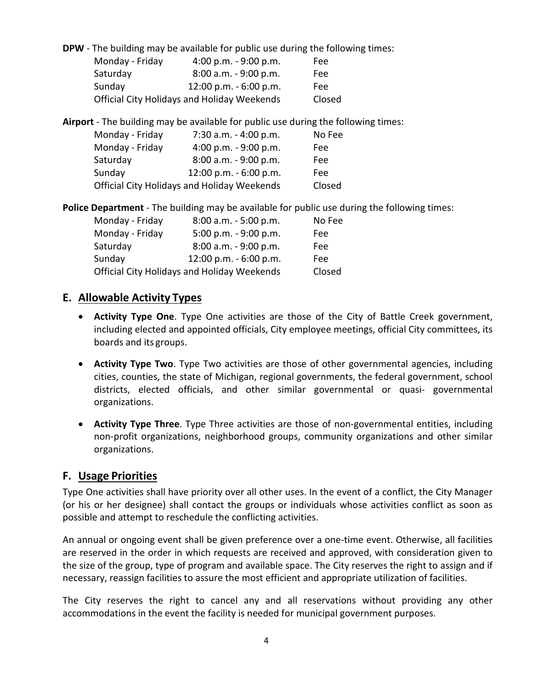**DPW** - The building may be available for public use during the following times:

| Monday - Friday | 4:00 p.m. $-9:00$ p.m.                             | Fee    |
|-----------------|----------------------------------------------------|--------|
| Saturday        | $8:00$ a.m. $-9:00$ p.m.                           | Fee    |
| Sunday          | 12:00 p.m. - 6:00 p.m.                             | Fee    |
|                 | <b>Official City Holidays and Holiday Weekends</b> | Closed |

**Airport** ‐ The building may be available for public use during the following times:

| Monday - Friday                                    | 7:30 a.m. - 4:00 p.m.  | No Fee |
|----------------------------------------------------|------------------------|--------|
| Monday - Friday                                    | 4:00 p.m. - 9:00 p.m.  | Fee:   |
| Saturday                                           | 8:00 a.m. - 9:00 p.m.  | Fee    |
| Sunday                                             | 12:00 p.m. - 6:00 p.m. | Fee    |
| <b>Official City Holidays and Holiday Weekends</b> |                        | Closed |

**Police Department** - The building may be available for public use during the following times:

| Monday - Friday | 8:00 a.m. - 5:00 p.m.                              | No Fee |
|-----------------|----------------------------------------------------|--------|
| Monday - Friday | 5:00 p.m. - 9:00 p.m.                              | Fee    |
| Saturday        | 8:00 a.m. - 9:00 p.m.                              | Fee    |
| Sunday          | 12:00 p.m. - 6:00 p.m.                             | Fee    |
|                 | <b>Official City Holidays and Holiday Weekends</b> | Closed |

#### **E. Allowable Activity Types**

- **Activity Type One**. Type One activities are those of the City of Battle Creek government, including elected and appointed officials, City employee meetings, official City committees, its boards and its groups.
- **Activity Type Two**. Type Two activities are those of other governmental agencies, including cities, counties, the state of Michigan, regional governments, the federal government, school districts, elected officials, and other similar governmental or quasi- governmental organizations.
- **Activity Type Three**. Type Three activities are those of non‐governmental entities, including non‐profit organizations, neighborhood groups, community organizations and other similar organizations.

#### **F. Usage Priorities**

Type One activities shall have priority over all other uses. In the event of a conflict, the City Manager (or his or her designee) shall contact the groups or individuals whose activities conflict as soon as possible and attempt to reschedule the conflicting activities.

An annual or ongoing event shall be given preference over a one-time event. Otherwise, all facilities are reserved in the order in which requests are received and approved, with consideration given to the size of the group, type of program and available space. The City reserves the right to assign and if necessary, reassign facilities to assure the most efficient and appropriate utilization of facilities.

The City reserves the right to cancel any and all reservations without providing any other accommodations in the event the facility is needed for municipal government purposes.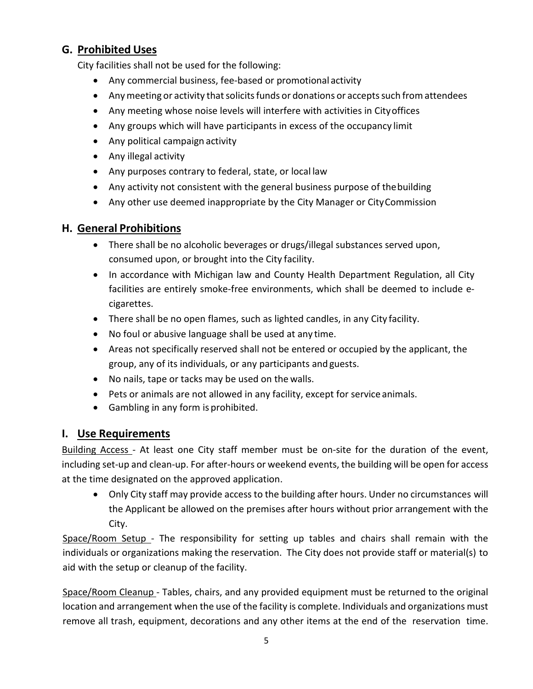# **G. Prohibited Uses**

City facilities shall not be used for the following:

- Any commercial business, fee‐based or promotional activity
- Any meeting or activity that solicits funds or donations or accepts such from attendees
- Any meeting whose noise levels will interfere with activities in Cityoffices
- Any groups which will have participants in excess of the occupancy limit
- Any political campaign activity
- Any illegal activity
- Any purposes contrary to federal, state, or local law
- Any activity not consistent with the general business purpose of thebuilding
- Any other use deemed inappropriate by the City Manager or CityCommission

# **H. General Prohibitions**

- There shall be no alcoholic beverages or drugs/illegal substances served upon, consumed upon, or brought into the City facility.
- In accordance with Michigan law and County Health Department Regulation, all City facilities are entirely smoke‐free environments, which shall be deemed to include e‐ cigarettes.
- There shall be no open flames, such as lighted candles, in any City facility.
- No foul or abusive language shall be used at any time.
- Areas not specifically reserved shall not be entered or occupied by the applicant, the group, any of its individuals, or any participants and guests.
- No nails, tape or tacks may be used on the walls.
- Pets or animals are not allowed in any facility, except for service animals.
- Gambling in any form is prohibited.

# **I. Use Requirements**

Building Access - At least one City staff member must be on-site for the duration of the event, including set‐up and clean‐up. For after‐hours or weekend events, the building will be open for access at the time designated on the approved application.

• Only City staff may provide access to the building after hours. Under no circumstances will the Applicant be allowed on the premises after hours without prior arrangement with the City.

Space/Room Setup ‐ The responsibility for setting up tables and chairs shall remain with the individuals or organizations making the reservation. The City does not provide staff or material(s) to aid with the setup or cleanup of the facility.

Space/Room Cleanup ‐ Tables, chairs, and any provided equipment must be returned to the original location and arrangement when the use of the facility is complete. Individuals and organizations must remove all trash, equipment, decorations and any other items at the end of the reservation time.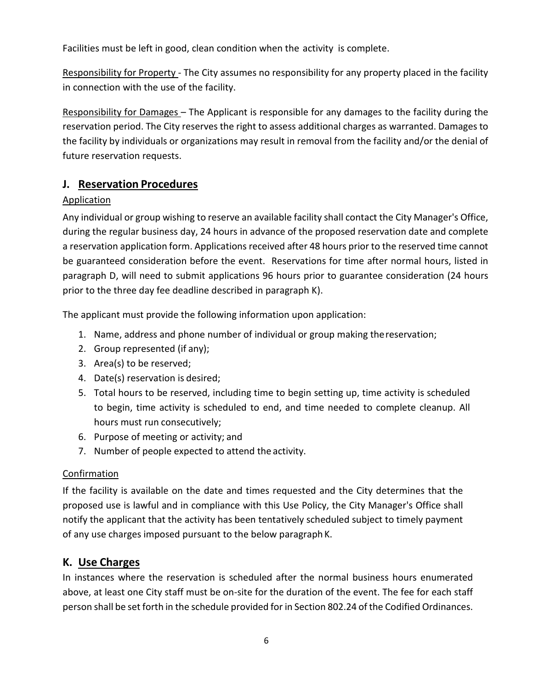Facilities must be left in good, clean condition when the activity is complete.

Responsibility for Property ‐ The City assumes no responsibility for any property placed in the facility in connection with the use of the facility.

Responsibility for Damages – The Applicant is responsible for any damages to the facility during the reservation period. The City reserves the right to assess additional charges as warranted. Damages to the facility by individuals or organizations may result in removal from the facility and/or the denial of future reservation requests.

#### **J. Reservation Procedures**

#### **Application**

Any individual or group wishing to reserve an available facility shall contact the City Manager's Office, during the regular business day, 24 hours in advance of the proposed reservation date and complete a reservation application form. Applications received after 48 hours prior to the reserved time cannot be guaranteed consideration before the event. Reservations for time after normal hours, listed in paragraph D, will need to submit applications 96 hours prior to guarantee consideration (24 hours prior to the three day fee deadline described in paragraph K).

The applicant must provide the following information upon application:

- 1. Name, address and phone number of individual or group making thereservation;
- 2. Group represented (if any);
- 3. Area(s) to be reserved;
- 4. Date(s) reservation is desired;
- 5. Total hours to be reserved, including time to begin setting up, time activity is scheduled to begin, time activity is scheduled to end, and time needed to complete cleanup. All hours must run consecutively;
- 6. Purpose of meeting or activity; and
- 7. Number of people expected to attend the activity.

#### **Confirmation**

If the facility is available on the date and times requested and the City determines that the proposed use is lawful and in compliance with this Use Policy, the City Manager's Office shall notify the applicant that the activity has been tentatively scheduled subject to timely payment of any use charges imposed pursuant to the below paragraph K.

# **K. Use Charges**

In instances where the reservation is scheduled after the normal business hours enumerated above, at least one City staff must be on‐site for the duration of the event. The fee for each staff person shall be set forth in the schedule provided for in Section 802.24 of the Codified Ordinances.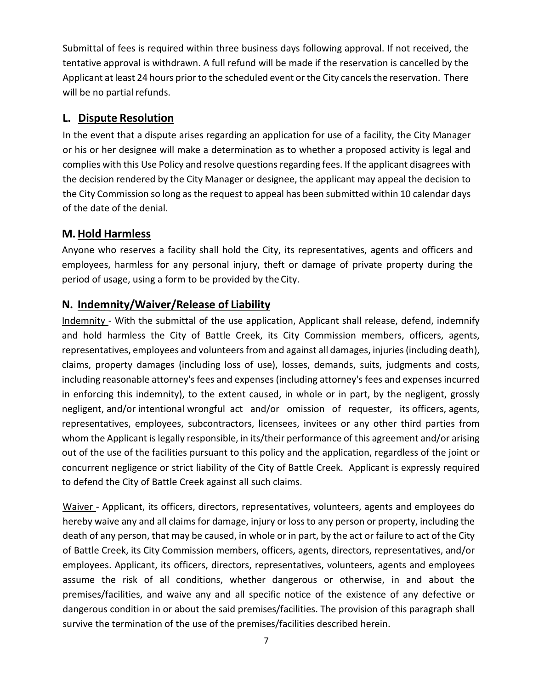Submittal of fees is required within three business days following approval. If not received, the tentative approval is withdrawn. A full refund will be made if the reservation is cancelled by the Applicant at least 24 hours prior to the scheduled event or the City cancels the reservation. There will be no partial refunds.

# **L. Dispute Resolution**

In the event that a dispute arises regarding an application for use of a facility, the City Manager or his or her designee will make a determination as to whether a proposed activity is legal and complies with this Use Policy and resolve questions regarding fees. If the applicant disagrees with the decision rendered by the City Manager or designee, the applicant may appeal the decision to the City Commission so long as the request to appeal has been submitted within 10 calendar days of the date of the denial.

#### **M.Hold Harmless**

Anyone who reserves a facility shall hold the City, its representatives, agents and officers and employees, harmless for any personal injury, theft or damage of private property during the period of usage, using a form to be provided by the City.

# **N. Indemnity/Waiver/Release of Liability**

Indemnity ‐ With the submittal of the use application, Applicant shall release, defend, indemnify and hold harmless the City of Battle Creek, its City Commission members, officers, agents, representatives, employees and volunteers from and against all damages, injuries (including death), claims, property damages (including loss of use), losses, demands, suits, judgments and costs, including reasonable attorney's fees and expenses (including attorney's fees and expenses incurred in enforcing this indemnity), to the extent caused, in whole or in part, by the negligent, grossly negligent, and/or intentional wrongful act and/or omission of requester, its officers, agents, representatives, employees, subcontractors, licensees, invitees or any other third parties from whom the Applicant is legally responsible, in its/their performance of this agreement and/or arising out of the use of the facilities pursuant to this policy and the application, regardless of the joint or concurrent negligence or strict liability of the City of Battle Creek. Applicant is expressly required to defend the City of Battle Creek against all such claims.

Waiver - Applicant, its officers, directors, representatives, volunteers, agents and employees do hereby waive any and all claims for damage, injury or loss to any person or property, including the death of any person, that may be caused, in whole or in part, by the act or failure to act of the City of Battle Creek, its City Commission members, officers, agents, directors, representatives, and/or employees. Applicant, its officers, directors, representatives, volunteers, agents and employees assume the risk of all conditions, whether dangerous or otherwise, in and about the premises/facilities, and waive any and all specific notice of the existence of any defective or dangerous condition in or about the said premises/facilities. The provision of this paragraph shall survive the termination of the use of the premises/facilities described herein.